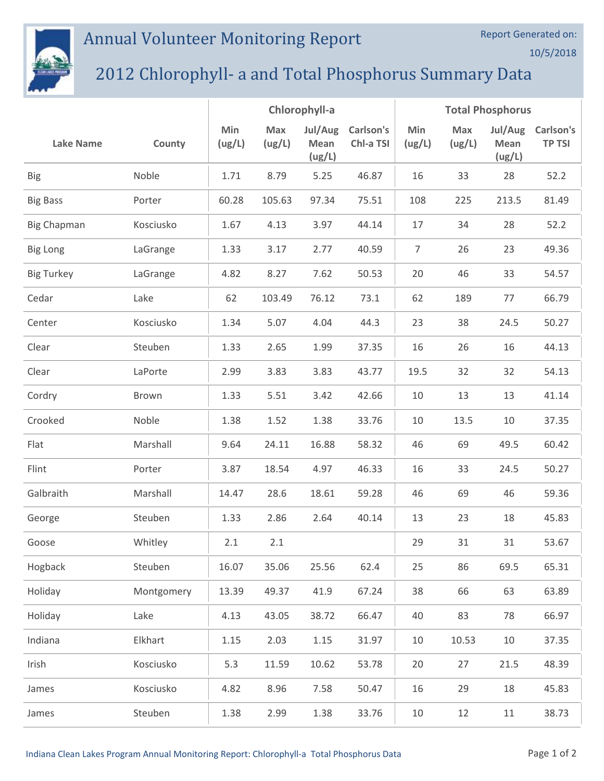## Annual Volunteer Monitoring Report



## 2012 Chlorophyll- a and Total Phosphorus Summary Data

|                    |            | Chlorophyll-a |               |                           | <b>Total Phosphorus</b> |                |               |                           |                            |
|--------------------|------------|---------------|---------------|---------------------------|-------------------------|----------------|---------------|---------------------------|----------------------------|
| <b>Lake Name</b>   | County     | Min<br>(ug/L) | Max<br>(ug/L) | Jul/Aug<br>Mean<br>(ug/L) | Carlson's<br>Chl-a TSI  | Min<br>(ug/L)  | Max<br>(ug/L) | Jul/Aug<br>Mean<br>(ug/L) | Carlson's<br><b>TP TSI</b> |
| <b>Big</b>         | Noble      | 1.71          | 8.79          | 5.25                      | 46.87                   | 16             | 33            | 28                        | 52.2                       |
| <b>Big Bass</b>    | Porter     | 60.28         | 105.63        | 97.34                     | 75.51                   | 108            | 225           | 213.5                     | 81.49                      |
| <b>Big Chapman</b> | Kosciusko  | 1.67          | 4.13          | 3.97                      | 44.14                   | 17             | 34            | 28                        | 52.2                       |
| <b>Big Long</b>    | LaGrange   | 1.33          | 3.17          | 2.77                      | 40.59                   | $\overline{7}$ | 26            | 23                        | 49.36                      |
| <b>Big Turkey</b>  | LaGrange   | 4.82          | 8.27          | 7.62                      | 50.53                   | 20             | 46            | 33                        | 54.57                      |
| Cedar              | Lake       | 62            | 103.49        | 76.12                     | 73.1                    | 62             | 189           | 77                        | 66.79                      |
| Center             | Kosciusko  | 1.34          | 5.07          | 4.04                      | 44.3                    | 23             | 38            | 24.5                      | 50.27                      |
| Clear              | Steuben    | 1.33          | 2.65          | 1.99                      | 37.35                   | 16             | 26            | 16                        | 44.13                      |
| Clear              | LaPorte    | 2.99          | 3.83          | 3.83                      | 43.77                   | 19.5           | 32            | 32                        | 54.13                      |
| Cordry             | Brown      | 1.33          | 5.51          | 3.42                      | 42.66                   | 10             | 13            | 13                        | 41.14                      |
| Crooked            | Noble      | 1.38          | 1.52          | 1.38                      | 33.76                   | 10             | 13.5          | 10                        | 37.35                      |
| Flat               | Marshall   | 9.64          | 24.11         | 16.88                     | 58.32                   | 46             | 69            | 49.5                      | 60.42                      |
| Flint              | Porter     | 3.87          | 18.54         | 4.97                      | 46.33                   | 16             | 33            | 24.5                      | 50.27                      |
| Galbraith          | Marshall   | 14.47         | 28.6          | 18.61                     | 59.28                   | 46             | 69            | 46                        | 59.36                      |
| George             | Steuben    | 1.33          | 2.86          | 2.64                      | 40.14                   | 13             | 23            | 18                        | 45.83                      |
| Goose              | Whitley    | 2.1           | 2.1           |                           |                         | 29             | 31            | 31                        | 53.67                      |
| Hogback            | Steuben    | 16.07         | 35.06         | 25.56                     | 62.4                    | 25             | 86            | 69.5                      | 65.31                      |
| Holiday            | Montgomery | 13.39         | 49.37         | 41.9                      | 67.24                   | 38             | 66            | 63                        | 63.89                      |
| Holiday            | Lake       | 4.13          | 43.05         | 38.72                     | 66.47                   | 40             | 83            | 78                        | 66.97                      |
| Indiana            | Elkhart    | 1.15          | 2.03          | 1.15                      | 31.97                   | 10             | 10.53         | 10                        | 37.35                      |
| Irish              | Kosciusko  | 5.3           | 11.59         | 10.62                     | 53.78                   | 20             | 27            | 21.5                      | 48.39                      |
| James              | Kosciusko  | 4.82          | 8.96          | 7.58                      | 50.47                   | 16             | 29            | 18                        | 45.83                      |
| James              | Steuben    | 1.38          | 2.99          | 1.38                      | 33.76                   | 10             | 12            | 11                        | 38.73                      |

Report Generated on:

10/5/2018